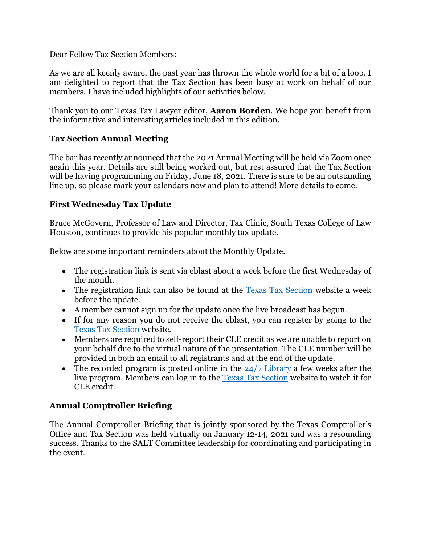Dear Fellow Tax Section Members:

As we are all keenly aware, the past year has thrown the whole world for a bit of a loop. I am delighted to report that the Tax Section has been busy at work on behalf of our members. I have included highlights of our activities below.

Thank you to our Texas Tax Lawyer editor, **Aaron Borden**. We hope you benefit from the informative and interesting articles included in this edition.

# Tax Section Annual Meeting

The bar has recently announced that the 2021 Annual Meeting will be held via Zoom once again this year. Details are still being worked out, but rest assured that the Tax Section will be having programming on Friday, June 18, 2021. There is sure to be an outstanding line up, so please mark your calendars now and plan to attend! More details to come.

# First Wednesday Tax Update

Bruce McGovern, Professor of Law and Director, Tax Clinic, South Texas College of Law Houston, continues to provide his popular monthly tax update.

Below are some important reminders about the Monthly Update.

- The registration link is sent via eblast about a week before the first Wednesday of the month.
- The registration link can also be found at the **Texas Tax Section** website a week before the update.
- A member cannot sign up for the update once the live broadcast has begun.
- If for any reason you do not receive the eblast, you can register by going to the Texas Tax Section website.
- Members are required to self-report their CLE credit as we are unable to report on your behalf due to the virtual nature of the presentation. The CLE number will be provided in both an email to all registrants and at the end of the update.
- The recorded program is posted online in the  $24/7$  Library a few weeks after the live program. Members can log in to the Texas Tax Section website to watch it for CLE credit.

# Annual Comptroller Briefing

The Annual Comptroller Briefing that is jointly sponsored by the Texas Comptroller's Office and Tax Section was held virtually on January 12-14, 2021 and was a resounding success. Thanks to the SALT Committee leadership for coordinating and participating in the event.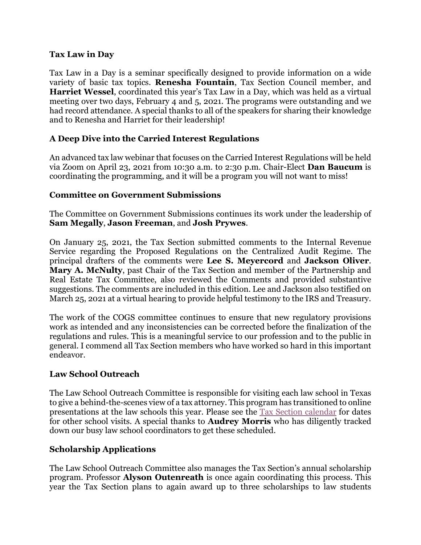#### Tax Law in Day

Tax Law in a Day is a seminar specifically designed to provide information on a wide variety of basic tax topics. Renesha Fountain, Tax Section Council member, and Harriet Wessel, coordinated this year's Tax Law in a Day, which was held as a virtual meeting over two days, February 4 and 5, 2021. The programs were outstanding and we had record attendance. A special thanks to all of the speakers for sharing their knowledge and to Renesha and Harriet for their leadership!

# A Deep Dive into the Carried Interest Regulations

An advanced tax law webinar that focuses on the Carried Interest Regulations will be held via Zoom on April 23, 2021 from 10:30 a.m. to 2:30 p.m. Chair-Elect Dan Baucum is coordinating the programming, and it will be a program you will not want to miss!

### Committee on Government Submissions

The Committee on Government Submissions continues its work under the leadership of Sam Megally, Jason Freeman, and Josh Prywes.

On January 25, 2021, the Tax Section submitted comments to the Internal Revenue Service regarding the Proposed Regulations on the Centralized Audit Regime. The principal drafters of the comments were Lee S. Meyercord and Jackson Oliver. Mary A. McNulty, past Chair of the Tax Section and member of the Partnership and Real Estate Tax Committee, also reviewed the Comments and provided substantive suggestions. The comments are included in this edition. Lee and Jackson also testified on March 25, 2021 at a virtual hearing to provide helpful testimony to the IRS and Treasury.

The work of the COGS committee continues to ensure that new regulatory provisions work as intended and any inconsistencies can be corrected before the finalization of the regulations and rules. This is a meaningful service to our profession and to the public in general. I commend all Tax Section members who have worked so hard in this important endeavor.

### Law School Outreach

The Law School Outreach Committee is responsible for visiting each law school in Texas to give a behind-the-scenes view of a tax attorney. This program has transitioned to online presentations at the law schools this year. Please see the Tax Section calendar for dates for other school visits. A special thanks to Audrey Morris who has diligently tracked down our busy law school coordinators to get these scheduled.

### Scholarship Applications

The Law School Outreach Committee also manages the Tax Section's annual scholarship program. Professor Alyson Outenreath is once again coordinating this process. This year the Tax Section plans to again award up to three scholarships to law students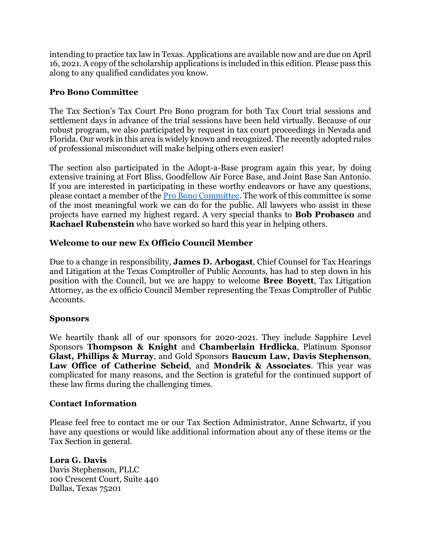intending to practice tax law in Texas. Applications are available now and are due on April 16, 2021. A copy of the scholarship applications is included in this edition. Please pass this along to any qualified candidates you know.

### Pro Bono Committee

The Tax Section's Tax Court Pro Bono program for both Tax Court trial sessions and settlement days in advance of the trial sessions have been held virtually. Because of our robust program, we also participated by request in tax court proceedings in Nevada and Florida. Our work in this area is widely known and recognized. The recently adopted rules of professional misconduct will make helping others even easier!

The section also participated in the Adopt-a-Base program again this year, by doing extensive training at Fort Bliss, Goodfellow Air Force Base, and Joint Base San Antonio. If you are interested in participating in these worthy endeavors or have any questions, please contact a member of the Pro Bono Committee. The work of this committee is some of the most meaningful work we can do for the public. All lawyers who assist in these projects have earned my highest regard. A very special thanks to Bob Probasco and Rachael Rubenstein who have worked so hard this year in helping others.

#### Welcome to our new Ex Officio Council Member

Due to a change in responsibility, **James D. Arbogast**, Chief Counsel for Tax Hearings and Litigation at the Texas Comptroller of Public Accounts, has had to step down in his position with the Council, but we are happy to welcome Bree Boyett, Tax Litigation Attorney, as the ex officio Council Member representing the Texas Comptroller of Public Accounts.

#### Sponsors

We heartily thank all of our sponsors for 2020-2021. They include Sapphire Level Sponsors Thompson & Knight and Chamberlain Hrdlicka, Platinum Sponsor Glast, Phillips & Murray, and Gold Sponsors Baucum Law, Davis Stephenson, Law Office of Catherine Scheid, and Mondrik & Associates. This year was complicated for many reasons, and the Section is grateful for the continued support of these law firms during the challenging times.

#### Contact Information

Please feel free to contact me or our Tax Section Administrator, Anne Schwartz, if you have any questions or would like additional information about any of these items or the Tax Section in general.

#### Lora G. Davis

Davis Stephenson, PLLC 100 Crescent Court, Suite 440 Dallas, Texas 75201